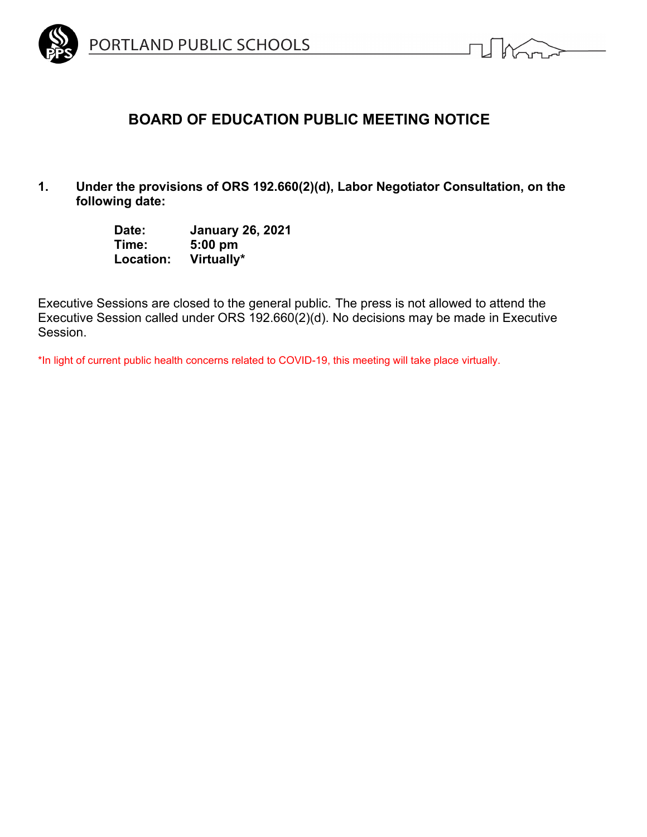



# **BOARD OF EDUCATION PUBLIC MEETING NOTICE**

**1. Under the provisions of ORS 192.660(2)(d), Labor Negotiator Consultation, on the following date:**

| Date:     | <b>January 26, 2021</b> |
|-----------|-------------------------|
| Time:     | $5:00$ pm               |
| Location: | Virtually*              |

Executive Sessions are closed to the general public. The press is not allowed to attend the Executive Session called under ORS 192.660(2)(d). No decisions may be made in Executive Session.

\*In light of current public health concerns related to COVID-19, this meeting will take place virtually.